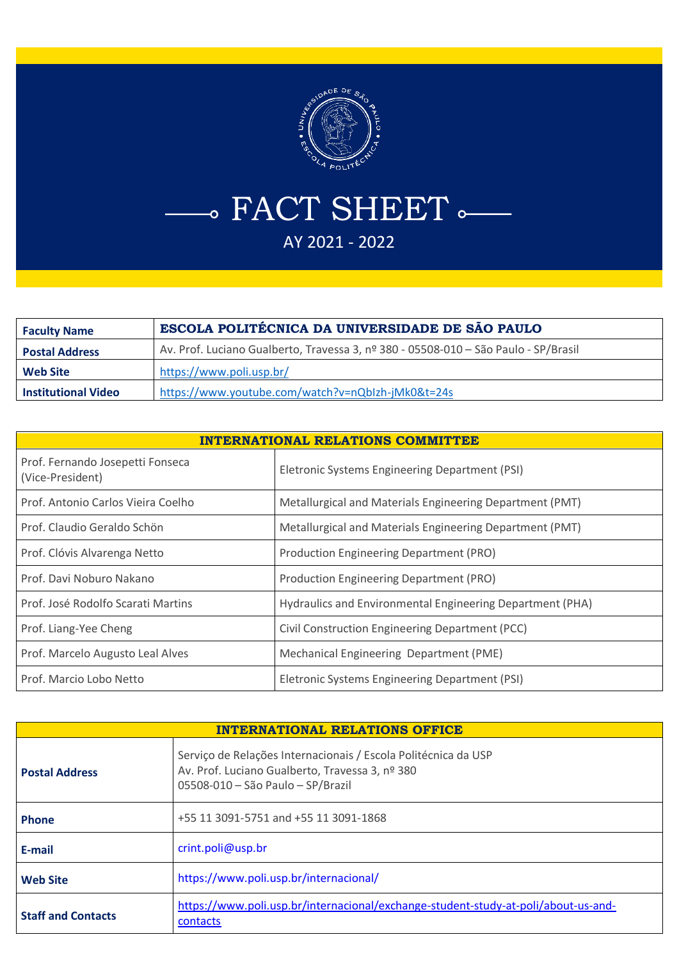

- FACT SHEET  $\sim$ AY 2021 - 2022

| <b>Faculty Name</b>        | ESCOLA POLITÉCNICA DA UNIVERSIDADE DE SÃO PAULO                                     |
|----------------------------|-------------------------------------------------------------------------------------|
| <b>Postal Address</b>      | Av. Prof. Luciano Gualberto, Travessa 3, nº 380 - 05508-010 - São Paulo - SP/Brasil |
| <b>Web Site</b>            | https://www.poli.usp.br/                                                            |
| <b>Institutional Video</b> | https://www.youtube.com/watch?v=nQbIzh-jMk0&t=24s                                   |

| <b>INTERNATIONAL RELATIONS COMMITTEE</b>             |                                                           |  |
|------------------------------------------------------|-----------------------------------------------------------|--|
| Prof. Fernando Josepetti Fonseca<br>(Vice-President) | Eletronic Systems Engineering Department (PSI)            |  |
| Prof. Antonio Carlos Vieira Coelho                   | Metallurgical and Materials Engineering Department (PMT)  |  |
| Prof. Claudio Geraldo Schön                          | Metallurgical and Materials Engineering Department (PMT)  |  |
| Prof. Clóvis Alvarenga Netto                         | Production Engineering Department (PRO)                   |  |
| Prof. Davi Noburo Nakano                             | Production Engineering Department (PRO)                   |  |
| Prof. José Rodolfo Scarati Martins                   | Hydraulics and Environmental Engineering Department (PHA) |  |
| Prof. Liang-Yee Cheng                                | Civil Construction Engineering Department (PCC)           |  |
| Prof. Marcelo Augusto Leal Alves                     | Mechanical Engineering Department (PME)                   |  |
| Prof. Marcio Lobo Netto                              | Eletronic Systems Engineering Department (PSI)            |  |

| <b>INTERNATIONAL RELATIONS OFFICE</b> |                                                                                                                                                        |
|---------------------------------------|--------------------------------------------------------------------------------------------------------------------------------------------------------|
| <b>Postal Address</b>                 | Serviço de Relações Internacionais / Escola Politécnica da USP<br>Av. Prof. Luciano Gualberto, Travessa 3, nº 380<br>05508-010 - São Paulo - SP/Brazil |
| <b>Phone</b>                          | +55 11 3091-5751 and +55 11 3091-1868                                                                                                                  |
| E-mail                                | crint.poli@usp.br                                                                                                                                      |
| <b>Web Site</b>                       | https://www.poli.usp.br/internacional/                                                                                                                 |
| <b>Staff and Contacts</b>             | https://www.poli.usp.br/internacional/exchange-student-study-at-poli/about-us-and-<br>contacts                                                         |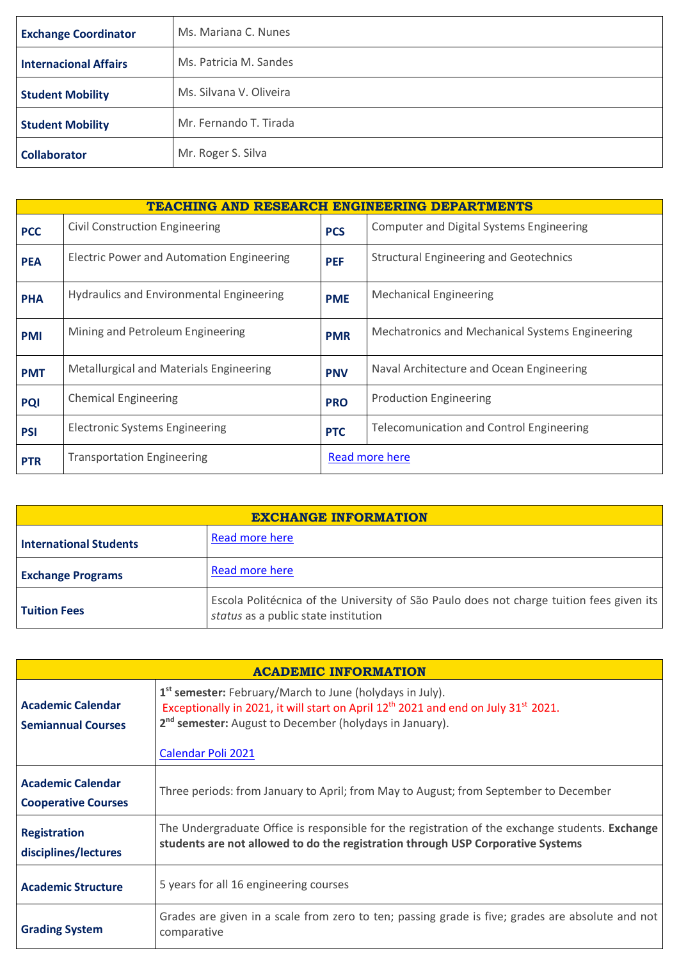| <b>Exchange Coordinator</b>  | Ms. Mariana C. Nunes    |
|------------------------------|-------------------------|
| <b>Internacional Affairs</b> | Ms. Patricia M. Sandes  |
| <b>Student Mobility</b>      | Ms. Silvana V. Oliveira |
| <b>Student Mobility</b>      | Mr. Fernando T. Tirada  |
| <b>Collaborator</b>          | Mr. Roger S. Silva      |

| <b>TEACHING AND RESEARCH ENGINEERING DEPARTMENTS</b> |                                                  |            |                                                 |
|------------------------------------------------------|--------------------------------------------------|------------|-------------------------------------------------|
| <b>PCC</b>                                           | <b>Civil Construction Engineering</b>            | <b>PCS</b> | Computer and Digital Systems Engineering        |
| <b>PEA</b>                                           | <b>Electric Power and Automation Engineering</b> | <b>PEF</b> | <b>Structural Engineering and Geotechnics</b>   |
| <b>PHA</b>                                           | <b>Hydraulics and Environmental Engineering</b>  | <b>PME</b> | <b>Mechanical Engineering</b>                   |
| <b>PMI</b>                                           | Mining and Petroleum Engineering                 | <b>PMR</b> | Mechatronics and Mechanical Systems Engineering |
| <b>PMT</b>                                           | <b>Metallurgical and Materials Engineering</b>   | <b>PNV</b> | Naval Architecture and Ocean Engineering        |
| <b>PQI</b>                                           | <b>Chemical Engineering</b>                      | <b>PRO</b> | <b>Production Engineering</b>                   |
| <b>PSI</b>                                           | <b>Electronic Systems Engineering</b>            | <b>PTC</b> | <b>Telecomunication and Control Engineering</b> |
| <b>PTR</b>                                           | <b>Transportation Engineering</b>                |            | Read more here                                  |

| <b>EXCHANGE INFORMATION</b>   |                                                                                                                                  |
|-------------------------------|----------------------------------------------------------------------------------------------------------------------------------|
| <b>International Students</b> | Read more here                                                                                                                   |
| <b>Exchange Programs</b>      | Read more here                                                                                                                   |
| <b>Tuition Fees</b>           | Escola Politécnica of the University of São Paulo does not charge tuition fees given its<br>status as a public state institution |

| <b>ACADEMIC INFORMATION</b>                            |                                                                                                                                                                                                                                                                                 |  |
|--------------------------------------------------------|---------------------------------------------------------------------------------------------------------------------------------------------------------------------------------------------------------------------------------------------------------------------------------|--|
| <b>Academic Calendar</b><br><b>Semiannual Courses</b>  | 1 <sup>st</sup> semester: February/March to June (holydays in July).<br>Exceptionally in 2021, it will start on April 12 <sup>th</sup> 2021 and end on July 31 <sup>st</sup> 2021.<br>2 <sup>nd</sup> semester: August to December (holydays in January).<br>Calendar Poli 2021 |  |
| <b>Academic Calendar</b><br><b>Cooperative Courses</b> | Three periods: from January to April; from May to August; from September to December                                                                                                                                                                                            |  |
| <b>Registration</b><br>disciplines/lectures            | The Undergraduate Office is responsible for the registration of the exchange students. Exchange<br>students are not allowed to do the registration through USP Corporative Systems                                                                                              |  |
| <b>Academic Structure</b>                              | 5 years for all 16 engineering courses                                                                                                                                                                                                                                          |  |
| <b>Grading System</b>                                  | Grades are given in a scale from zero to ten; passing grade is five; grades are absolute and not<br>comparative                                                                                                                                                                 |  |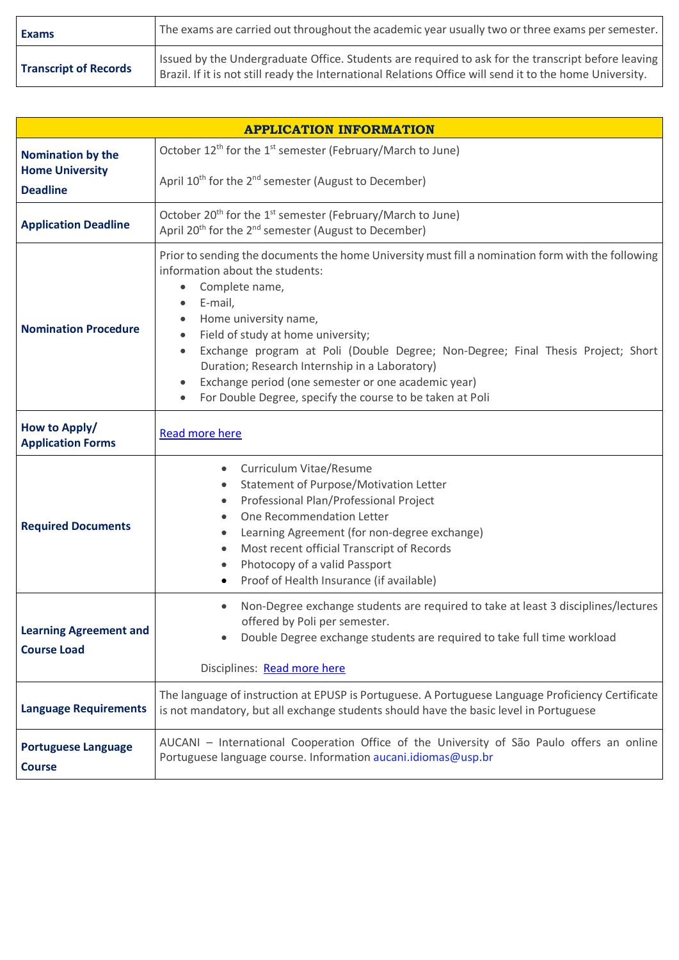| <b>Exams</b>                 | The exams are carried out throughout the academic year usually two or three exams per semester.                                                                                                                |
|------------------------------|----------------------------------------------------------------------------------------------------------------------------------------------------------------------------------------------------------------|
| <b>Transcript of Records</b> | Issued by the Undergraduate Office. Students are required to ask for the transcript before leaving<br>Brazil. If it is not still ready the International Relations Office will send it to the home University. |

| <b>APPLICATION INFORMATION</b>                      |                                                                                                                                                                                                                                                                                                                                                                                                                                                                                                         |  |
|-----------------------------------------------------|---------------------------------------------------------------------------------------------------------------------------------------------------------------------------------------------------------------------------------------------------------------------------------------------------------------------------------------------------------------------------------------------------------------------------------------------------------------------------------------------------------|--|
| <b>Nomination by the</b>                            | October 12 <sup>th</sup> for the 1 <sup>st</sup> semester (February/March to June)                                                                                                                                                                                                                                                                                                                                                                                                                      |  |
| <b>Home University</b><br><b>Deadline</b>           | April 10 <sup>th</sup> for the 2 <sup>nd</sup> semester (August to December)                                                                                                                                                                                                                                                                                                                                                                                                                            |  |
| <b>Application Deadline</b>                         | October 20 <sup>th</sup> for the 1 <sup>st</sup> semester (February/March to June)<br>April 20 <sup>th</sup> for the 2 <sup>nd</sup> semester (August to December)                                                                                                                                                                                                                                                                                                                                      |  |
| <b>Nomination Procedure</b>                         | Prior to sending the documents the home University must fill a nomination form with the following<br>information about the students:<br>Complete name,<br>E-mail,<br>Home university name,<br>Field of study at home university;<br>Exchange program at Poli (Double Degree; Non-Degree; Final Thesis Project; Short<br>$\bullet$<br>Duration; Research Internship in a Laboratory)<br>Exchange period (one semester or one academic year)<br>For Double Degree, specify the course to be taken at Poli |  |
| How to Apply/<br><b>Application Forms</b>           | <b>Read more here</b>                                                                                                                                                                                                                                                                                                                                                                                                                                                                                   |  |
| <b>Required Documents</b>                           | Curriculum Vitae/Resume<br>$\bullet$<br>Statement of Purpose/Motivation Letter<br>Professional Plan/Professional Project<br>One Recommendation Letter<br>Learning Agreement (for non-degree exchange)<br>Most recent official Transcript of Records<br>$\bullet$<br>Photocopy of a valid Passport<br>$\bullet$<br>Proof of Health Insurance (if available)                                                                                                                                              |  |
| <b>Learning Agreement and</b><br><b>Course Load</b> | Non-Degree exchange students are required to take at least 3 disciplines/lectures<br>offered by Poli per semester.<br>Double Degree exchange students are required to take full time workload<br>Disciplines: Read more here                                                                                                                                                                                                                                                                            |  |
| <b>Language Requirements</b>                        | The language of instruction at EPUSP is Portuguese. A Portuguese Language Proficiency Certificate<br>is not mandatory, but all exchange students should have the basic level in Portuguese                                                                                                                                                                                                                                                                                                              |  |
| <b>Portuguese Language</b><br><b>Course</b>         | AUCANI - International Cooperation Office of the University of São Paulo offers an online<br>Portuguese language course. Information aucani.idiomas@usp.br                                                                                                                                                                                                                                                                                                                                              |  |